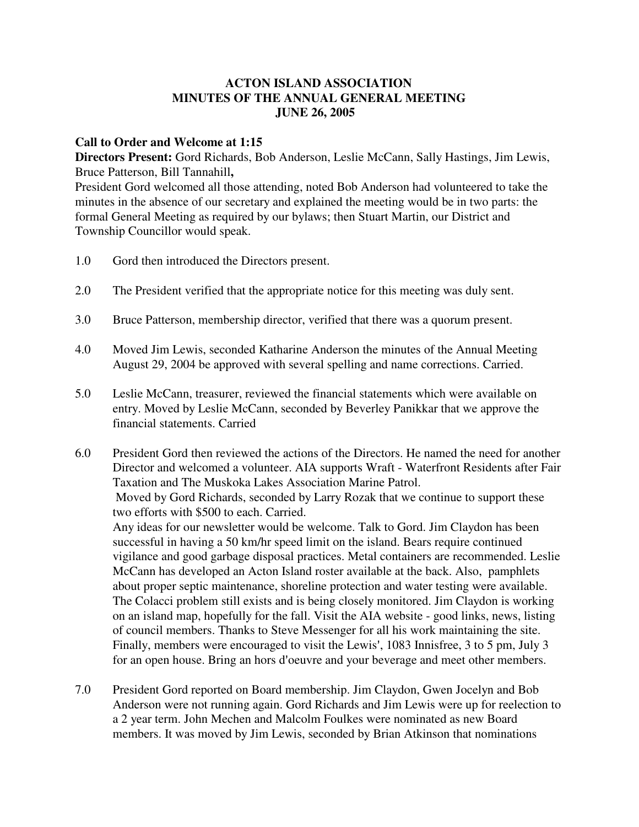## **ACTON ISLAND ASSOCIATION MINUTES OF THE ANNUAL GENERAL MEETING JUNE 26, 2005**

## **Call to Order and Welcome at 1:15**

**Directors Present:** Gord Richards, Bob Anderson, Leslie McCann, Sally Hastings, Jim Lewis, Bruce Patterson, Bill Tannahill**,**

President Gord welcomed all those attending, noted Bob Anderson had volunteered to take the minutes in the absence of our secretary and explained the meeting would be in two parts: the formal General Meeting as required by our bylaws; then Stuart Martin, our District and Township Councillor would speak.

- 1.0 Gord then introduced the Directors present.
- 2.0 The President verified that the appropriate notice for this meeting was duly sent.
- 3.0 Bruce Patterson, membership director, verified that there was a quorum present.
- 4.0 Moved Jim Lewis, seconded Katharine Anderson the minutes of the Annual Meeting August 29, 2004 be approved with several spelling and name corrections. Carried.
- 5.0 Leslie McCann, treasurer, reviewed the financial statements which were available on entry. Moved by Leslie McCann, seconded by Beverley Panikkar that we approve the financial statements. Carried
- 6.0 President Gord then reviewed the actions of the Directors. He named the need for another Director and welcomed a volunteer. AIA supports Wraft - Waterfront Residents after Fair Taxation and The Muskoka Lakes Association Marine Patrol. Moved by Gord Richards, seconded by Larry Rozak that we continue to support these two efforts with \$500 to each. Carried. Any ideas for our newsletter would be welcome. Talk to Gord. Jim Claydon has been successful in having a 50 km/hr speed limit on the island. Bears require continued vigilance and good garbage disposal practices. Metal containers are recommended. Leslie McCann has developed an Acton Island roster available at the back. Also, pamphlets about proper septic maintenance, shoreline protection and water testing were available. The Colacci problem still exists and is being closely monitored. Jim Claydon is working on an island map, hopefully for the fall. Visit the AIA website - good links, news, listing of council members. Thanks to Steve Messenger for all his work maintaining the site. Finally, members were encouraged to visit the Lewis', 1083 Innisfree, 3 to 5 pm, July 3 for an open house. Bring an hors d'oeuvre and your beverage and meet other members.
- 7.0 President Gord reported on Board membership. Jim Claydon, Gwen Jocelyn and Bob Anderson were not running again. Gord Richards and Jim Lewis were up for reelection to a 2 year term. John Mechen and Malcolm Foulkes were nominated as new Board members. It was moved by Jim Lewis, seconded by Brian Atkinson that nominations